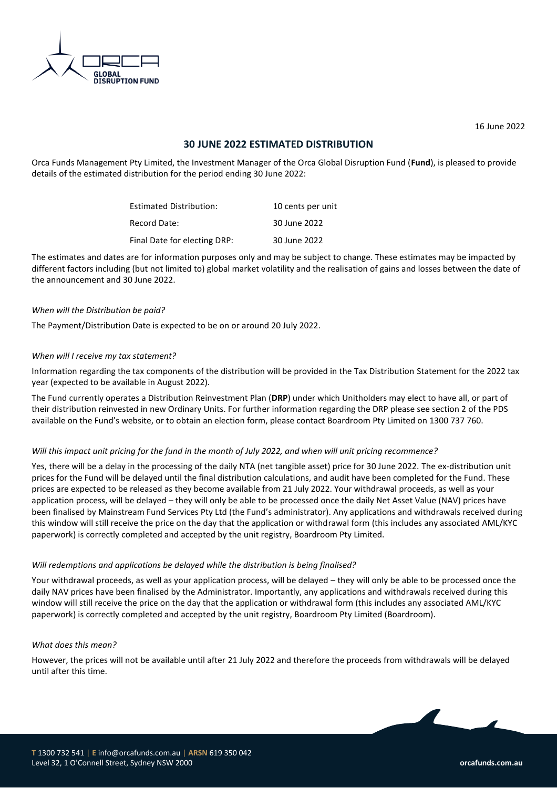

16 June 2022

# **30 JUNE 2022 ESTIMATED DISTRIBUTION**

Orca Funds Management Pty Limited, the Investment Manager of the Orca Global Disruption Fund (**Fund**), is pleased to provide details of the estimated distribution for the period ending 30 June 2022:

| <b>Estimated Distribution:</b> | 10 cents per unit |
|--------------------------------|-------------------|
| Record Date:                   | 30 June 2022      |
| Final Date for electing DRP:   | 30 June 2022      |

The estimates and dates are for information purposes only and may be subject to change. These estimates may be impacted by different factors including (but not limited to) global market volatility and the realisation of gains and losses between the date of the announcement and 30 June 2022.

### *When will the Distribution be paid?*

The Payment/Distribution Date is expected to be on or around 20 July 2022.

#### *When will I receive my tax statement?*

Information regarding the tax components of the distribution will be provided in the Tax Distribution Statement for the 2022 tax year (expected to be available in August 2022).

The Fund currently operates a Distribution Reinvestment Plan (**DRP**) under which Unitholders may elect to have all, or part of their distribution reinvested in new Ordinary Units. For further information regarding the DRP please see section 2 of the PDS available on the Fund's website, or to obtain an election form, please contact Boardroom Pty Limited on 1300 737 760.

#### *Will this impact unit pricing for the fund in the month of July 2022, and when will unit pricing recommence?*

Yes, there will be a delay in the processing of the daily NTA (net tangible asset) price for 30 June 2022. The ex-distribution unit prices for the Fund will be delayed until the final distribution calculations, and audit have been completed for the Fund. These prices are expected to be released as they become available from 21 July 2022. Your withdrawal proceeds, as well as your application process, will be delayed – they will only be able to be processed once the daily Net Asset Value (NAV) prices have been finalised by Mainstream Fund Services Pty Ltd (the Fund's administrator). Any applications and withdrawals received during this window will still receive the price on the day that the application or withdrawal form (this includes any associated AML/KYC paperwork) is correctly completed and accepted by the unit registry, Boardroom Pty Limited.

#### *Will redemptions and applications be delayed while the distribution is being finalised?*

Your withdrawal proceeds, as well as your application process, will be delayed – they will only be able to be processed once the daily NAV prices have been finalised by the Administrator. Importantly, any applications and withdrawals received during this window will still receive the price on the day that the application or withdrawal form (this includes any associated AML/KYC paperwork) is correctly completed and accepted by the unit registry, Boardroom Pty Limited (Boardroom).

#### *What does this mean?*

However, the prices will not be available until after 21 July 2022 and therefore the proceeds from withdrawals will be delayed until after this time.